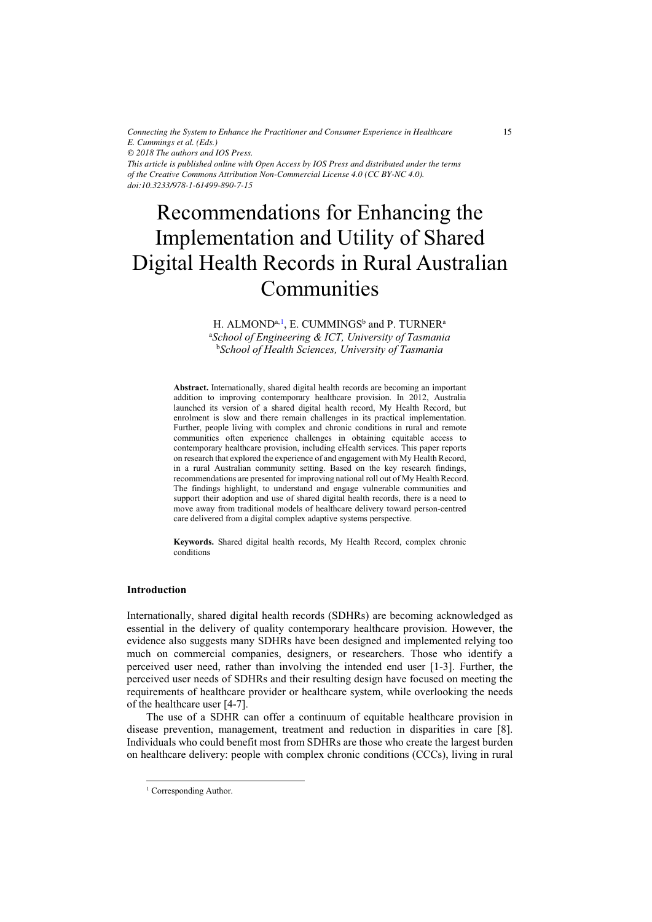*Connecting the System to Enhance the Practitioner and Consumer Experience in Healthcare E. Cummings et al. (Eds.) © 2018 The authors and IOS Press. This article is published online with Open Access by IOS Press and distributed under the terms of the Creative Commons Attribution Non-Commercial License 4.0 (CC BY-NC 4.0). doi:10.3233/978-1-61499-890-7-15*

# Recommendations for Enhancing the Implementation and Utility of Shared Digital Health Records in Rural Australian Communities

H. ALMOND<sup>a, 1</sup>, E. CUMMINGS<sup>b</sup> and P. TURNER<sup>a</sup> a *School of Engineering & ICT, University of Tasmania*  b *School of Health Sciences, University of Tasmania*

**Abstract.** Internationally, shared digital health records are becoming an important addition to improving contemporary healthcare provision. In 2012, Australia launched its version of a shared digital health record, My Health Record, but enrolment is slow and there remain challenges in its practical implementation. Further, people living with complex and chronic conditions in rural and remote communities often experience challenges in obtaining equitable access to contemporary healthcare provision, including eHealth services. This paper reports on research that explored the experience of and engagement with My Health Record, in a rural Australian community setting. Based on the key research findings, recommendations are presented for improving national roll out of My Health Record. The findings highlight, to understand and engage vulnerable communities and support their adoption and use of shared digital health records, there is a need to move away from traditional models of healthcare delivery toward person-centred care delivered from a digital complex adaptive systems perspective.

**Keywords.** Shared digital health records, My Health Record, complex chronic conditions

# **Introduction**

Internationally, shared digital health records (SDHRs) are becoming acknowledged as essential in the delivery of quality contemporary healthcare provision. However, the evidence also suggests many SDHRs have been designed and implemented relying too much on commercial companies, designers, or researchers. Those who identify a perceived user need, rather than involving the intended end user [1-3]. Further, the perceived user needs of SDHRs and their resulting design have focused on meeting the requirements of healthcare provider or healthcare system, while overlooking the needs of the healthcare user [4-7].

The use of a SDHR can offer a continuum of equitable healthcare provision in disease prevention, management, treatment and reduction in disparities in care [8]. Individuals who could benefit most from SDHRs are those who create the largest burden on healthcare delivery: people with complex chronic conditions (CCCs), living in rural

-

<sup>&</sup>lt;sup>1</sup> Corresponding Author.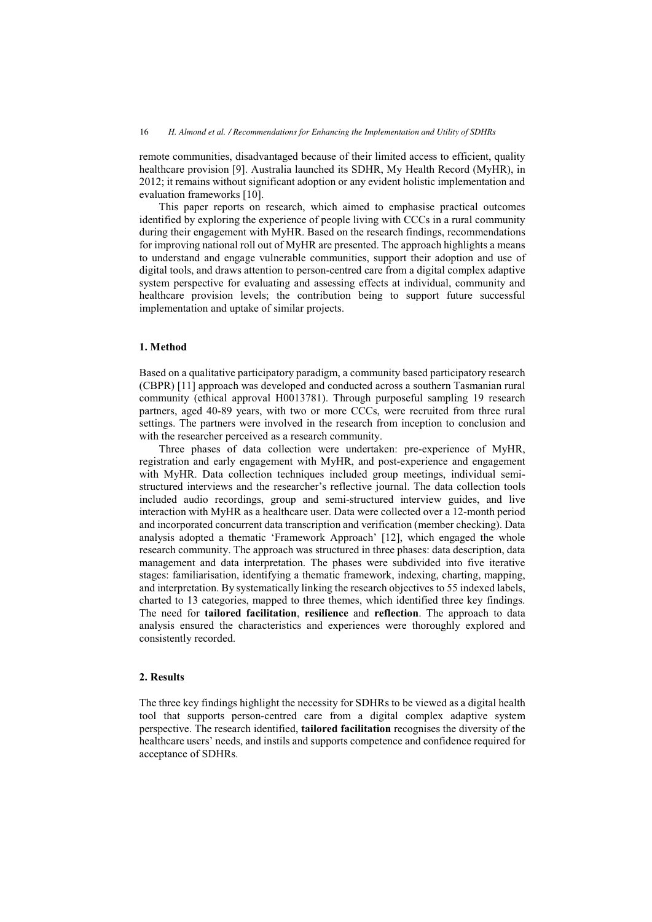remote communities, disadvantaged because of their limited access to efficient, quality healthcare provision [9]. Australia launched its SDHR, My Health Record (MyHR), in 2012; it remains without significant adoption or any evident holistic implementation and evaluation frameworks [10].

This paper reports on research, which aimed to emphasise practical outcomes identified by exploring the experience of people living with CCCs in a rural community during their engagement with MyHR. Based on the research findings, recommendations for improving national roll out of MyHR are presented. The approach highlights a means to understand and engage vulnerable communities, support their adoption and use of digital tools, and draws attention to person-centred care from a digital complex adaptive system perspective for evaluating and assessing effects at individual, community and healthcare provision levels; the contribution being to support future successful implementation and uptake of similar projects.

#### **1. Method**

Based on a qualitative participatory paradigm, a community based participatory research (CBPR) [11] approach was developed and conducted across a southern Tasmanian rural community (ethical approval H0013781). Through purposeful sampling 19 research partners, aged 40-89 years, with two or more CCCs, were recruited from three rural settings. The partners were involved in the research from inception to conclusion and with the researcher perceived as a research community.

Three phases of data collection were undertaken: pre-experience of MyHR, registration and early engagement with MyHR, and post-experience and engagement with MyHR. Data collection techniques included group meetings, individual semistructured interviews and the researcher's reflective journal. The data collection tools included audio recordings, group and semi-structured interview guides, and live interaction with MyHR as a healthcare user. Data were collected over a 12-month period and incorporated concurrent data transcription and verification (member checking). Data analysis adopted a thematic 'Framework Approach' [12], which engaged the whole research community. The approach was structured in three phases: data description, data management and data interpretation. The phases were subdivided into five iterative stages: familiarisation, identifying a thematic framework, indexing, charting, mapping, and interpretation. By systematically linking the research objectives to 55 indexed labels, charted to 13 categories, mapped to three themes, which identified three key findings. The need for **tailored facilitation**, **resilience** and **reflection**. The approach to data analysis ensured the characteristics and experiences were thoroughly explored and consistently recorded.

# **2. Results**

The three key findings highlight the necessity for SDHRs to be viewed as a digital health tool that supports person-centred care from a digital complex adaptive system perspective. The research identified, **tailored facilitation** recognises the diversity of the healthcare users' needs, and instils and supports competence and confidence required for acceptance of SDHRs.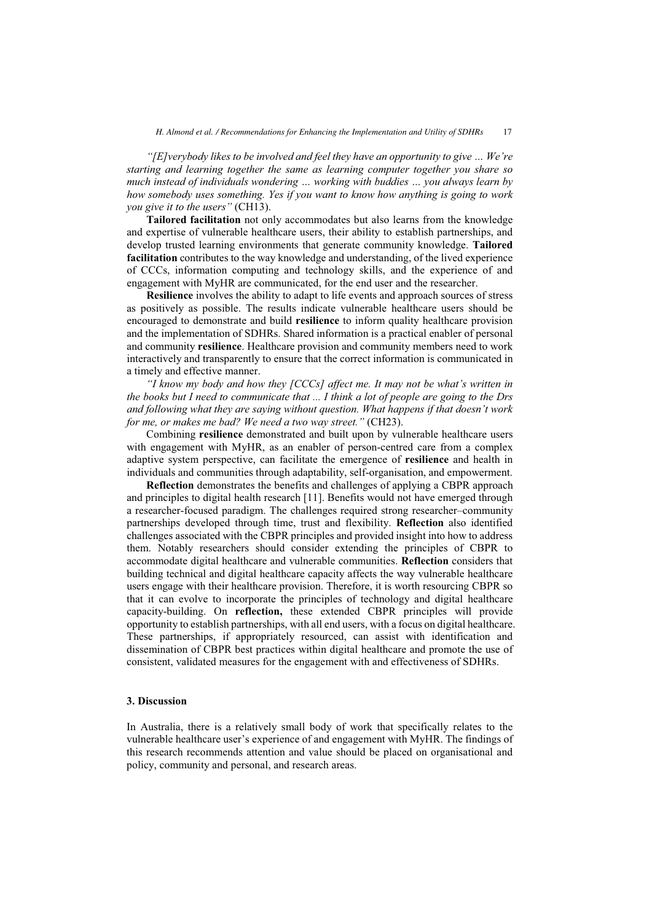*"[E]verybody likes to be involved and feel they have an opportunity to give … We're starting and learning together the same as learning computer together you share so much instead of individuals wondering … working with buddies … you always learn by how somebody uses something. Yes if you want to know how anything is going to work you give it to the users"* (CH13).

**Tailored facilitation** not only accommodates but also learns from the knowledge and expertise of vulnerable healthcare users, their ability to establish partnerships, and develop trusted learning environments that generate community knowledge. **Tailored facilitation** contributes to the way knowledge and understanding, of the lived experience of CCCs, information computing and technology skills, and the experience of and engagement with MyHR are communicated, for the end user and the researcher.

**Resilience** involves the ability to adapt to life events and approach sources of stress as positively as possible. The results indicate vulnerable healthcare users should be encouraged to demonstrate and build **resilience** to inform quality healthcare provision and the implementation of SDHRs. Shared information is a practical enabler of personal and community **resilience**. Healthcare provision and community members need to work interactively and transparently to ensure that the correct information is communicated in a timely and effective manner.

*"I know my body and how they [CCCs] affect me. It may not be what's written in the books but I need to communicate that ... I think a lot of people are going to the Drs and following what they are saying without question. What happens if that doesn't work for me, or makes me bad? We need a two way street."* (CH23).

Combining **resilience** demonstrated and built upon by vulnerable healthcare users with engagement with MyHR, as an enabler of person-centred care from a complex adaptive system perspective, can facilitate the emergence of **resilience** and health in individuals and communities through adaptability, self-organisation, and empowerment.

**Reflection** demonstrates the benefits and challenges of applying a CBPR approach and principles to digital health research [11]. Benefits would not have emerged through a researcher-focused paradigm. The challenges required strong researcher–community partnerships developed through time, trust and flexibility. **Reflection** also identified challenges associated with the CBPR principles and provided insight into how to address them. Notably researchers should consider extending the principles of CBPR to accommodate digital healthcare and vulnerable communities. **Reflection** considers that building technical and digital healthcare capacity affects the way vulnerable healthcare users engage with their healthcare provision. Therefore, it is worth resourcing CBPR so that it can evolve to incorporate the principles of technology and digital healthcare capacity-building. On **reflection,** these extended CBPR principles will provide opportunity to establish partnerships, with all end users, with a focus on digital healthcare. These partnerships, if appropriately resourced, can assist with identification and dissemination of CBPR best practices within digital healthcare and promote the use of consistent, validated measures for the engagement with and effectiveness of SDHRs.

#### **3. Discussion**

In Australia, there is a relatively small body of work that specifically relates to the vulnerable healthcare user's experience of and engagement with MyHR. The findings of this research recommends attention and value should be placed on organisational and policy, community and personal, and research areas.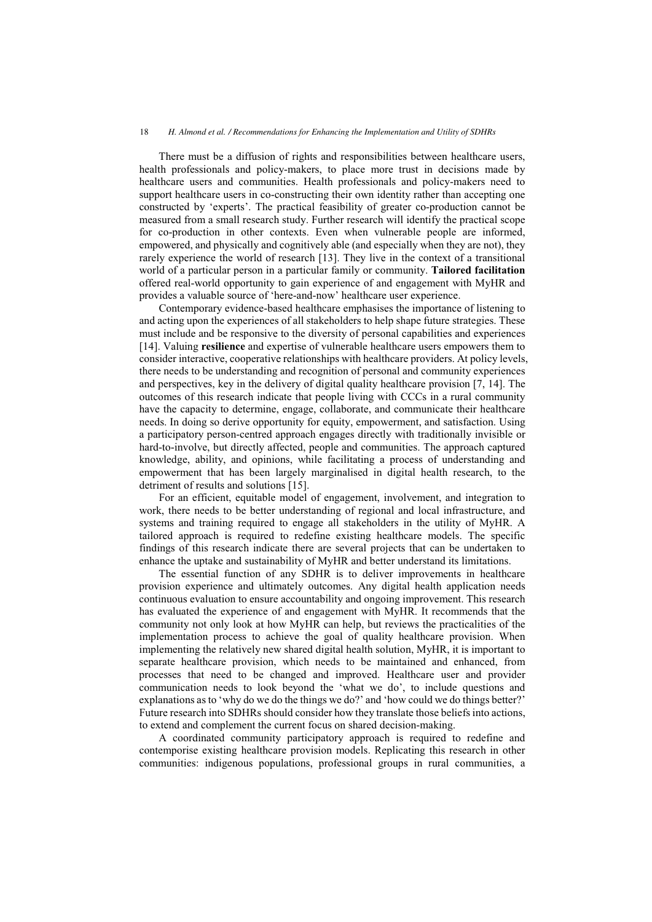There must be a diffusion of rights and responsibilities between healthcare users, health professionals and policy-makers, to place more trust in decisions made by healthcare users and communities. Health professionals and policy-makers need to support healthcare users in co-constructing their own identity rather than accepting one constructed by 'experts'. The practical feasibility of greater co-production cannot be measured from a small research study. Further research will identify the practical scope for co-production in other contexts. Even when vulnerable people are informed, empowered, and physically and cognitively able (and especially when they are not), they rarely experience the world of research [13]. They live in the context of a transitional world of a particular person in a particular family or community. **Tailored facilitation** offered real-world opportunity to gain experience of and engagement with MyHR and provides a valuable source of 'here-and-now' healthcare user experience.

Contemporary evidence-based healthcare emphasises the importance of listening to and acting upon the experiences of all stakeholders to help shape future strategies. These must include and be responsive to the diversity of personal capabilities and experiences [14]. Valuing **resilience** and expertise of vulnerable healthcare users empowers them to consider interactive, cooperative relationships with healthcare providers. At policy levels, there needs to be understanding and recognition of personal and community experiences and perspectives, key in the delivery of digital quality healthcare provision [7, 14]. The outcomes of this research indicate that people living with CCCs in a rural community have the capacity to determine, engage, collaborate, and communicate their healthcare needs. In doing so derive opportunity for equity, empowerment, and satisfaction. Using a participatory person-centred approach engages directly with traditionally invisible or hard-to-involve, but directly affected, people and communities. The approach captured knowledge, ability, and opinions, while facilitating a process of understanding and empowerment that has been largely marginalised in digital health research, to the detriment of results and solutions [15].

For an efficient, equitable model of engagement, involvement, and integration to work, there needs to be better understanding of regional and local infrastructure, and systems and training required to engage all stakeholders in the utility of MyHR. A tailored approach is required to redefine existing healthcare models. The specific findings of this research indicate there are several projects that can be undertaken to enhance the uptake and sustainability of MyHR and better understand its limitations.

The essential function of any SDHR is to deliver improvements in healthcare provision experience and ultimately outcomes. Any digital health application needs continuous evaluation to ensure accountability and ongoing improvement. This research has evaluated the experience of and engagement with MyHR. It recommends that the community not only look at how MyHR can help, but reviews the practicalities of the implementation process to achieve the goal of quality healthcare provision. When implementing the relatively new shared digital health solution, MyHR, it is important to separate healthcare provision, which needs to be maintained and enhanced, from processes that need to be changed and improved. Healthcare user and provider communication needs to look beyond the 'what we do', to include questions and explanations as to 'why do we do the things we do?' and 'how could we do things better?' Future research into SDHRs should consider how they translate those beliefs into actions, to extend and complement the current focus on shared decision-making.

A coordinated community participatory approach is required to redefine and contemporise existing healthcare provision models. Replicating this research in other communities: indigenous populations, professional groups in rural communities, a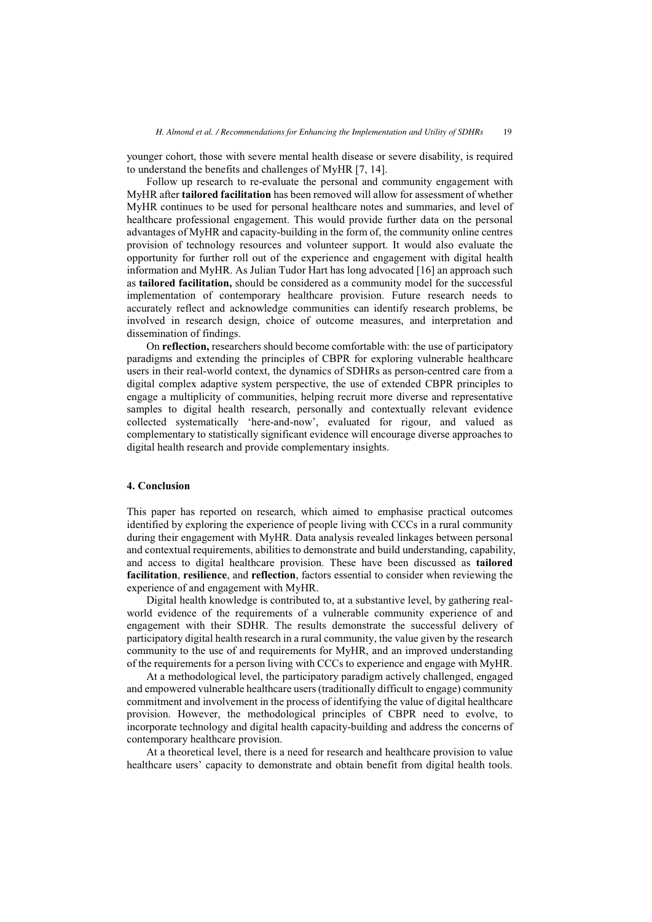younger cohort, those with severe mental health disease or severe disability, is required to understand the benefits and challenges of MyHR [7, 14].

Follow up research to re-evaluate the personal and community engagement with MyHR after **tailored facilitation** has been removed will allow for assessment of whether MyHR continues to be used for personal healthcare notes and summaries, and level of healthcare professional engagement. This would provide further data on the personal advantages of MyHR and capacity-building in the form of, the community online centres provision of technology resources and volunteer support. It would also evaluate the opportunity for further roll out of the experience and engagement with digital health information and MyHR. As Julian Tudor Hart has long advocated [16] an approach such as **tailored facilitation,** should be considered as a community model for the successful implementation of contemporary healthcare provision. Future research needs to accurately reflect and acknowledge communities can identify research problems, be involved in research design, choice of outcome measures, and interpretation and dissemination of findings.

On **reflection,** researchers should become comfortable with: the use of participatory paradigms and extending the principles of CBPR for exploring vulnerable healthcare users in their real-world context, the dynamics of SDHRs as person-centred care from a digital complex adaptive system perspective, the use of extended CBPR principles to engage a multiplicity of communities, helping recruit more diverse and representative samples to digital health research, personally and contextually relevant evidence collected systematically 'here-and-now', evaluated for rigour, and valued as complementary to statistically significant evidence will encourage diverse approaches to digital health research and provide complementary insights.

#### **4. Conclusion**

This paper has reported on research, which aimed to emphasise practical outcomes identified by exploring the experience of people living with CCCs in a rural community during their engagement with MyHR. Data analysis revealed linkages between personal and contextual requirements, abilities to demonstrate and build understanding, capability, and access to digital healthcare provision. These have been discussed as **tailored facilitation**, **resilience**, and **reflection**, factors essential to consider when reviewing the experience of and engagement with MyHR.

Digital health knowledge is contributed to, at a substantive level, by gathering realworld evidence of the requirements of a vulnerable community experience of and engagement with their SDHR. The results demonstrate the successful delivery of participatory digital health research in a rural community, the value given by the research community to the use of and requirements for MyHR, and an improved understanding of the requirements for a person living with CCCs to experience and engage with MyHR.

At a methodological level, the participatory paradigm actively challenged, engaged and empowered vulnerable healthcare users (traditionally difficult to engage) community commitment and involvement in the process of identifying the value of digital healthcare provision. However, the methodological principles of CBPR need to evolve, to incorporate technology and digital health capacity-building and address the concerns of contemporary healthcare provision.

At a theoretical level, there is a need for research and healthcare provision to value healthcare users' capacity to demonstrate and obtain benefit from digital health tools.